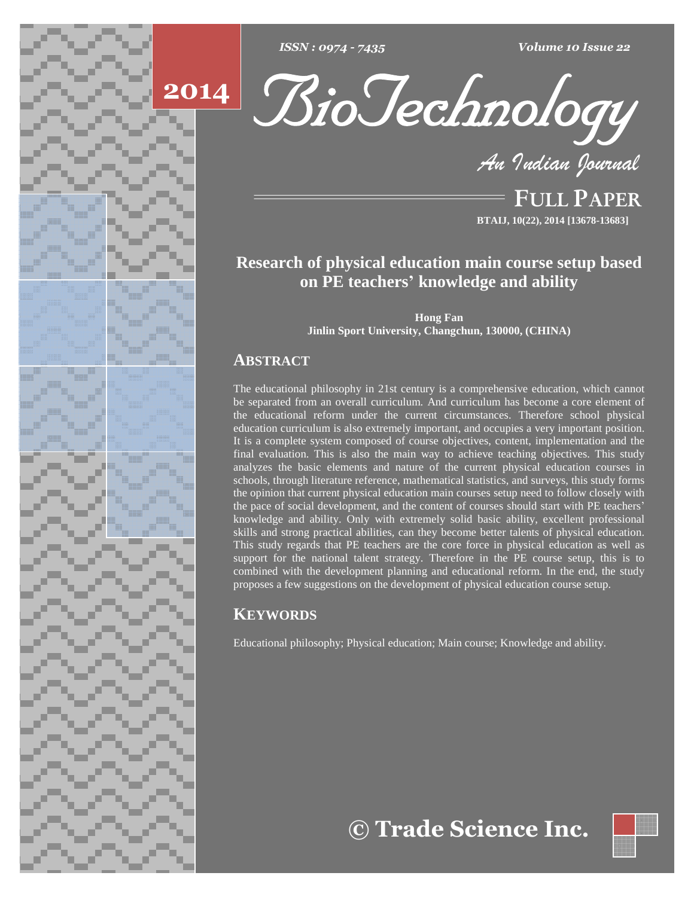





**FULL PAPER BTAIJ, 10(22), 2014 [13678-13683]**

# **Research of physical education main course setup based on PE teachers<sup>í</sup> knowledge and ability**

**Hong Fan Jinlin Sport University, Changchun, 130000, (CHINA)**

# **ABSTRACT**

The educational philosophy in 21st century is a comprehensive education, which cannot be separated from an overall curriculum. And curriculum has become a core element of the educational reform under the current circumstances. Therefore school physical education curriculum is also extremely important, and occupies a very important position. It is a complete system composed of course objectives, content, implementation and the final evaluation. This is also the main way to achieve teaching objectives. This study analyzes the basic elements and nature of the current physical education courses in schools, through literature reference, mathematical statistics, and surveys, this study forms the opinion that current physical education main courses setup need to follow closely with the pace of social development, and the content of courses should start with PE teachers' knowledge and ability. Only with extremely solid basic ability, excellent professional skills and strong practical abilities, can they become better talents of physical education. This study regards that PE teachers are the core force in physical education as well as support for the national talent strategy. Therefore in the PE course setup, this is to combined with the development planning and educational reform. In the end, the study proposes a few suggestions on the development of physical education course setup.

# **KEYWORDS**

Educational philosophy; Physical education; Main course; Knowledge and ability.

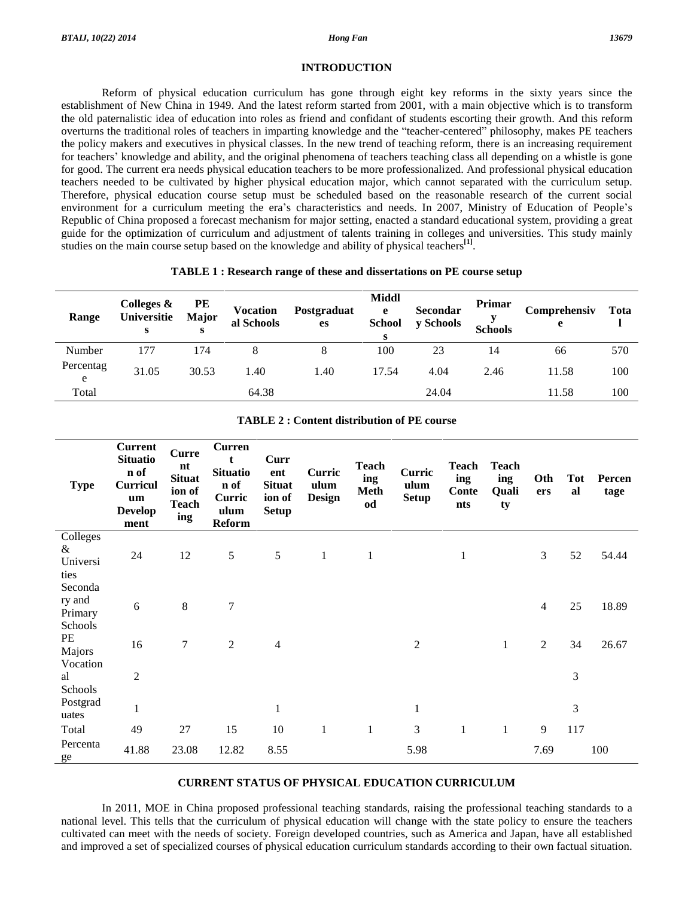#### **Hong Fan**

#### **INTRODUCTION**

Reform of physical education curriculum has gone through eight key reforms in the sixty years since the establishment of New China in 1949. And the latest reform started from 2001, with a main objective which is to transform the old paternalistic idea of education into roles as friend and confidant of students escorting their growth. And this reform overturns the traditional roles of teachers in imparting knowledge and the "teacher-centered" philosophy, makes PE teachers the policy makers and executives in physical classes. In the new trend of teaching reform, there is an increasing requirement for teachers' knowledge and ability, and the original phenomena of teachers teaching class all depending on a whistle is gone for good. The current era needs physical education teachers to be more professionalized. And professional physical education teachers needed to be cultivated by higher physical education major, which cannot separated with the curriculum setup. Therefore, physical education course setup must be scheduled based on the reasonable research of the current social environment for a curriculum meeting the era's characteristics and needs. In 2007, Ministry of Education of People's Republic of China proposed a forecast mechanism for major setting, enacted a standard educational system, providing a great guide for the optimization of curriculum and adjustment of talents training in colleges and universities. This study mainly studies on the main course setup based on the knowledge and ability of physical teachers<sup>[1]</sup>.

#### **TABLE 1: Research range of these and dissertations on PE course setup**

| Range          | Colleges &<br>Universitie<br>s | PE<br>Major<br>s | <b>Vocation</b><br>al Schools | Postgraduat<br>es | Middl<br>e<br><b>School</b><br>s | <b>Secondar</b><br>y Schools | <b>Primar</b><br><b>Schools</b> | Comprehensiv<br>e | Tota |
|----------------|--------------------------------|------------------|-------------------------------|-------------------|----------------------------------|------------------------------|---------------------------------|-------------------|------|
| Number         | 177                            | 174              |                               | 8                 | 100                              | 23                           | 14                              | 66                | 570  |
| Percentag<br>e | 31.05                          | 30.53            | 1.40                          | 1.40              | 17.54                            | 4.04                         | 2.46                            | 11.58             | 100  |
| Total          |                                |                  | 64.38                         |                   |                                  | 24.04                        |                                 | 11.58             | 100  |

| <b>Type</b>                             | <b>Current</b><br><b>Situatio</b><br>n of<br><b>Curricul</b><br>um<br><b>Develop</b><br>ment | <b>Curre</b><br>nt<br><b>Situat</b><br>ion of<br><b>Teach</b><br>ing | <b>Curren</b><br>$\mathbf t$<br><b>Situatio</b><br>n of<br>Curric<br>ulum<br><b>Reform</b> | Curr<br>ent<br><b>Situat</b><br>ion of<br><b>Setup</b> | Curric<br>ulum<br><b>Design</b> | <b>Teach</b><br>ing<br><b>Meth</b><br>od | Curric<br>ulum<br><b>Setup</b> | <b>Teach</b><br>ing<br>Conte<br>nts | <b>Teach</b><br>ing<br><b>Quali</b><br>ty | Oth<br>ers     | <b>Tot</b><br>al | Percen<br>tage |
|-----------------------------------------|----------------------------------------------------------------------------------------------|----------------------------------------------------------------------|--------------------------------------------------------------------------------------------|--------------------------------------------------------|---------------------------------|------------------------------------------|--------------------------------|-------------------------------------|-------------------------------------------|----------------|------------------|----------------|
| Colleges<br>&<br>Universi<br>ties       | 24                                                                                           | 12                                                                   | 5                                                                                          | 5                                                      | $\mathbf{1}$                    | 1                                        |                                | 1                                   |                                           | 3              | 52               | 54.44          |
| Seconda<br>ry and<br>Primary<br>Schools | 6                                                                                            | 8                                                                    | $\tau$                                                                                     |                                                        |                                 |                                          |                                |                                     |                                           | $\overline{4}$ | 25               | 18.89          |
| PE<br>Majors<br>Vocation                | 16                                                                                           | $\overline{7}$                                                       | $\overline{2}$                                                                             | $\overline{4}$                                         |                                 |                                          | $\overline{2}$                 |                                     | $\mathbf{1}$                              | $\overline{2}$ | 34               | 26.67          |
| al<br>Schools                           | $\overline{2}$                                                                               |                                                                      |                                                                                            |                                                        |                                 |                                          |                                |                                     |                                           |                | 3                |                |
| Postgrad<br>uates                       | $\mathbf{1}$                                                                                 |                                                                      |                                                                                            | $\mathbf{1}$                                           |                                 |                                          | $\mathbf{1}$                   |                                     |                                           |                | 3                |                |
| Total                                   | 49                                                                                           | 27                                                                   | 15                                                                                         | 10                                                     | 1                               | $\mathbf{1}$                             | 3                              | 1                                   | $\mathbf{1}$                              | 9              | 117              |                |
| Percenta<br>ge                          | 41.88                                                                                        | 23.08                                                                | 12.82                                                                                      | 8.55                                                   |                                 |                                          | 5.98                           |                                     |                                           | 7.69           |                  | 100            |

#### **TABLE 2: Content distribution of PE course**

#### **CURRENT STATUS OF PHYSICAL EDUCATION CURRICULUM**

In 2011, MOE in China proposed professional teaching standards, raising the professional teaching standards to a national level. This tells that the curriculum of physical education will change with the state policy to ensure the teachers cultivated can meet with the needs of society. Foreign developed countries, such as America and Japan, have all established and improved a set of specialized courses of physical education curriculum standards according to their own factual situation.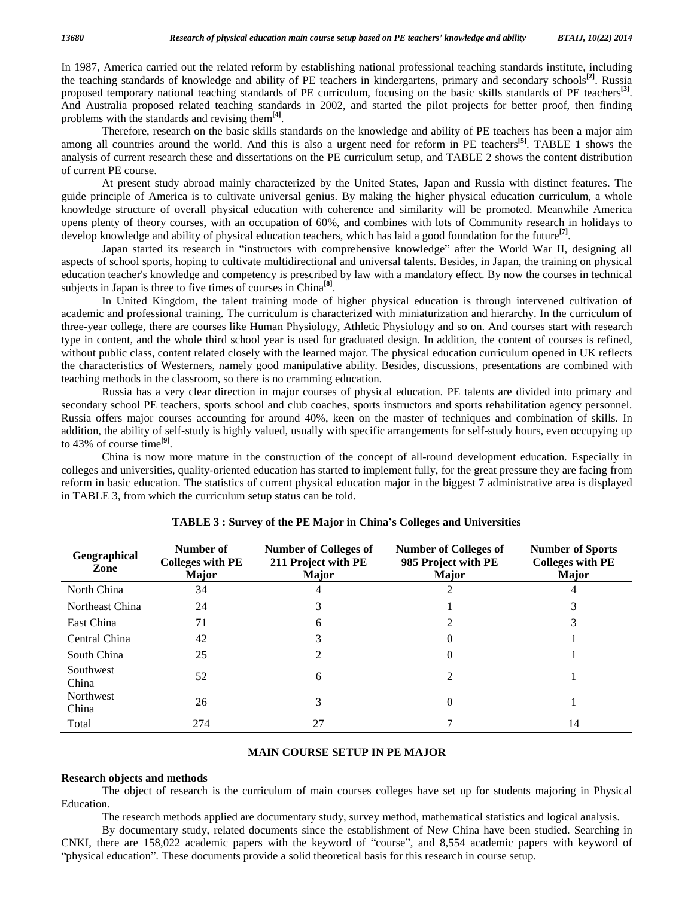In 1987, America carried out the related reform by establishing national professional teaching standards institute, including the teaching standards of knowledge and ability of PE teachers in kindergartens, primary and secondary schools<sup>[2]</sup>. Russia proposed temporary national teaching standards of PE curriculum, focusing on the basic skills standards of PE teachers **[3]**. And Australia proposed related teaching standards in 2002, and started the pilot projects for better proof, then finding problems with the standards and revising them **[4]**.

Therefore, research on the basic skills standards on the knowledge and ability of PE teachers has been a major aim among all countries around the world. And this is also a urgent need for reform in PE teachers **[5]**. TABLE 1 shows the analysis of current research these and dissertations on the PE curriculum setup, and TABLE 2 shows the content distribution of current PE course.

At present study abroad mainly characterized by the United States, Japan and Russia with distinct features. The guide principle of America is to cultivate universal genius. By making the higher physical education curriculum, a whole knowledge structure of overall physical education with coherence and similarity will be promoted. Meanwhile America opens plenty of theory courses, with an occupation of 60%, and combines with lots of Community research in holidays to<br>develop knowledge and ability of physical education teachers, which has laid a good foundation for the develop knowledge and ability of physical education teachers, which has laid a good foundation for the future **[7]**.

aspects of school sports, hoping to cultivate multidirectional and universal talents. Besides, in Japan, the training on physical education teacher's knowledge and competency is prescribed by law with a mandatory effect. By now the courses in technical subjects in Japan is three to five times of courses in China **[8]**.

In United Kingdom, the talent training mode of higher physical education is through intervened cultivation of academic and professional training. The curriculum is characterized with miniaturization and hierarchy. In the curriculum of three-year college, there are courses like Human Physiology, Athletic Physiology and so on. And courses start with research type in content, and the whole third school year is used for graduated design. In addition, the content of courses is refined, without public class, content related closely with the learned major. The physical education curriculum opened in UK reflects the characteristics of Westerners, namely good manipulative ability. Besides, discussions, presentations are combined with teaching methods in the classroom, so there is no cramming education.

Russia has a very clear direction in major courses of physical education. PE talents are divided into primary and secondary school PE teachers, sports school and club coaches, sports instructors and sports rehabilitation agency personnel. Russia offers major courses accounting for around 40%, keen on the master of techniques and combination of skills. In addition, the ability of self-study is highly valued, usually with specific arrangements for self-study hours, even occupying up to 43% of course time **[9]**.

China is now more mature in the construction of the concept of all-round development education. Especially in colleges and universities, quality-oriented education has started to implement fully, for the great pressure they are facing from reform in basic education. The statistics of current physical education major in the biggest 7 administrative area is displayed in TABLE 3, from which the curriculum setup status can be told.

| Geographical<br>Zone | Number of<br><b>Colleges with PE</b><br>Major | <b>Number of Colleges of</b><br>211 Project with PE<br>Major | <b>Number of Colleges of</b><br>985 Project with PE<br><b>Major</b> | <b>Number of Sports</b><br><b>Colleges with PE</b><br><b>Major</b> |
|----------------------|-----------------------------------------------|--------------------------------------------------------------|---------------------------------------------------------------------|--------------------------------------------------------------------|
| North China          | 34                                            |                                                              |                                                                     |                                                                    |
| Northeast China      | 24                                            |                                                              |                                                                     |                                                                    |
| East China           | 71                                            | 6                                                            | $\mathcal{L}$                                                       |                                                                    |
| Central China        | 42                                            |                                                              | 0                                                                   |                                                                    |
| South China          | 25                                            |                                                              | 0                                                                   |                                                                    |
| Southwest<br>China   | 52                                            | 6                                                            | $\mathfrak{D}$                                                      |                                                                    |
| Northwest<br>China   | 26                                            | 3                                                            | $\theta$                                                            |                                                                    |
| Total                | 274                                           | 27                                                           |                                                                     | 14                                                                 |

### **TABLE <sup>3</sup> : Survey of the PE Major in Chinaí<sup>s</sup> Colleges and Universities**

#### **MAIN COURSE SETUP IN PE MAJOR**

#### **Research objects and methods**

The object of research is the curriculum of main courses colleges have set up for students majoring in Physical Education.

The research methods applied are documentary study, survey method, mathematical statistics and logical analysis.

By documentary study, related documents since the establishment of New China have been studied. Searching in The research methods applied are documentary study, survey method, mathematical statistics and logical analysis.<br>By documentary study, related documents since the establishment of New China have been studied. Searching in<br> By documentary study, related documents since the establishment of New China have been st<br>
NKI, there are 158,022 academic papers with the keyword of "course", and 8,554 academic paper<br>
physical education". These documents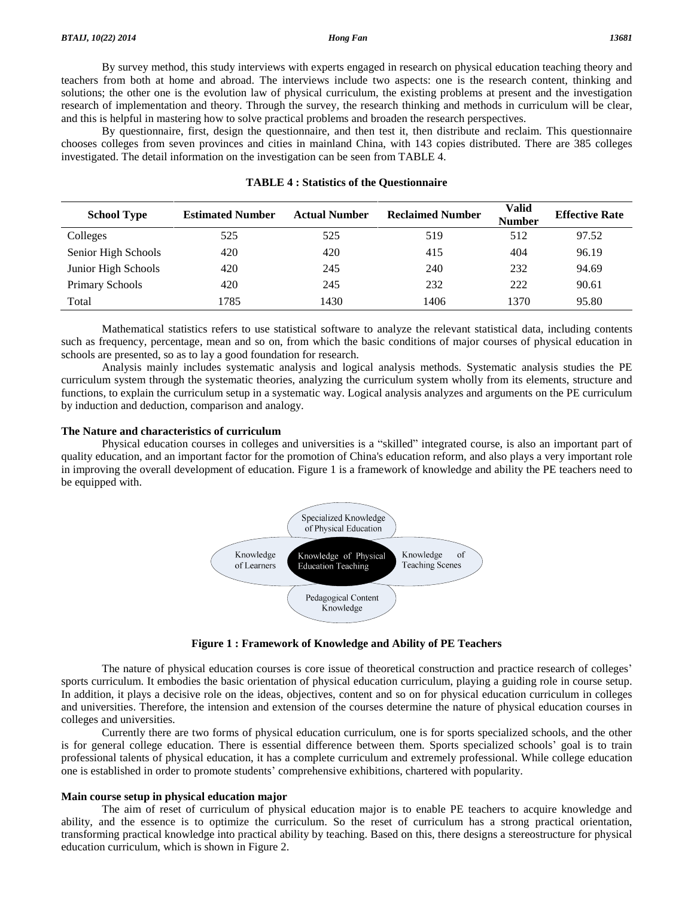By survey method, this study interviews with experts engaged in research on physical education teaching theory and teachers from both at home and abroad. The interviews include two aspects: one is the research content, thinking and solutions; the other one is the evolution law of physical curriculum, the existing problems at present and the investigation research of implementation and theory. Through the survey, the research thinking and methods in curriculum will be clear, and this is helpful in mastering how to solve practical problems and broaden the research perspectives.

By questionnaire, first, design the questionnaire, and then test it, then distribute and reclaim. This questionnaire chooses colleges from seven provinces and cities in mainland China, with 143 copies distributed. There are 385 colleges investigated. The detail information on the investigation can be seen from TABLE 4.

| <b>School Type</b>     | <b>Estimated Number</b> | <b>Actual Number</b> | <b>Reclaimed Number</b> | Valid<br><b>Number</b> | <b>Effective Rate</b> |
|------------------------|-------------------------|----------------------|-------------------------|------------------------|-----------------------|
| Colleges               | 525                     | 525                  | 519                     | 512                    | 97.52                 |
| Senior High Schools    | 420                     | 420                  | 415                     | 404                    | 96.19                 |
| Junior High Schools    | 420                     | 245                  | 240                     | 232                    | 94.69                 |
| <b>Primary Schools</b> | 420                     | 245                  | 232                     | 222                    | 90.61                 |
| Total                  | 1785                    | 1430                 | 1406                    | 1370                   | 95.80                 |

#### **TABLE 4 : Statistics of the Questionnaire**

Mathematical statistics refers to use statistical software to analyze the relevant statistical data, including contents such as frequency, percentage, mean and so on, from which the basic conditions of major courses of physical education in schools are presented, so as to lay a good foundation for research.

Analysis mainly includes systematic analysis and logical analysis methods. Systematic analysis studies the PE curriculum system through the systematic theories, analyzing the curriculum system wholly from its elements, structure and functions, to explain the curriculum setup in a systematic way. Logical analysis analyzes and arguments on the PE curriculum by induction and deduction, comparison and analogy.

#### **The Nature and characteristics of curriculum**

Physical education courses in colleges and universities is a "skilled" integrated course, is also an important part of quality education, and an important factor for the promotion of China's education reform, and also plays a very important role in improving the overall development of education. Figure 1 is a framework of knowledge and ability the PE teachers need to be equipped with.



**Figure 1 : Framework of Knowledge and Ability of PE Teachers**

The nature of physical education courses is core issue of theoretical construction and practice research of colleges<sup>7</sup> sports curriculum. It embodies the basic orientation of physical education curriculum, playing a guiding role in course setup. In addition, it plays a decisive role on the ideas, objectives, content and so on for physical education curriculum in colleges and universities. Therefore, the intension and extension of the courses determine the nature of physical education courses in colleges and universities.

Currently there are two forms of physical education curriculum, one is for sports specialized schools, and the other is for general college education. There is essential difference between them. Sports specialized schools' goal is to train professional talents of physical education, it has a complete curriculum and extremely professional. While college education one is established in order to promote students' comprehensive exhibitions, chartered with popularity.

#### **Main course setup in physical education major**

The aim of reset of curriculum of physical education major is to enable PE teachers to acquire knowledge and ability, and the essence is to optimize the curriculum. So the reset of curriculum has a strong practical orientation, transforming practical knowledge into practical ability by teaching. Based on this, there designs a stereostructure for physical education curriculum, which is shown in Figure 2.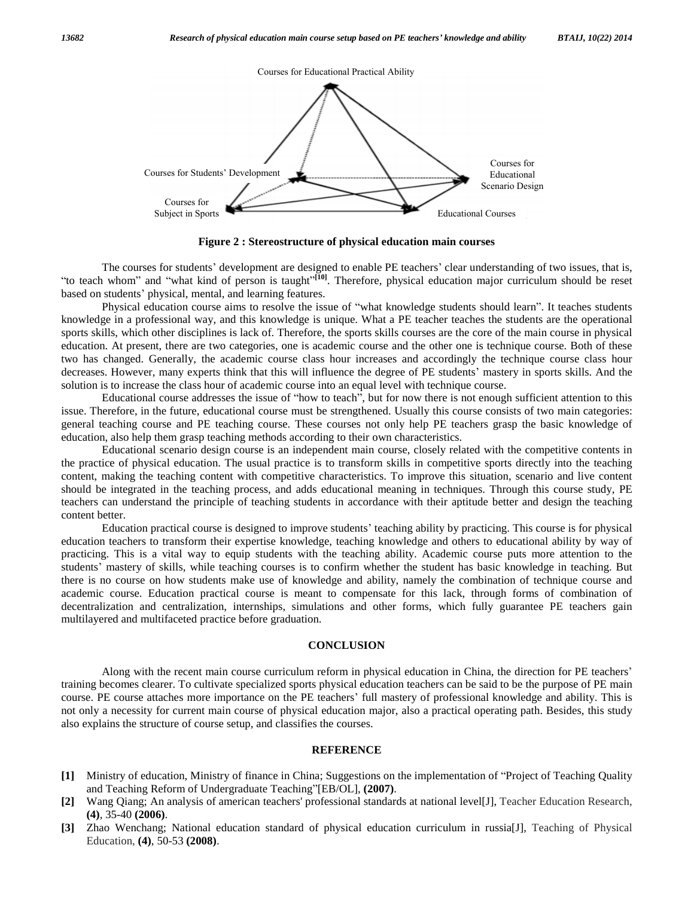

**Figure 2 : Stereostructure of physical education main courses**

The courses for students' development are designed to enable PE teachers' clear understanding of two issues, that is, The courses for students' development are designed to enable PE teachers' clear understanding of two issues, that is,<br>to teach whom" and "what kind of person is taught"<sup>[10]</sup>. Therefore, physical education major curriculum The courses for students' development are designed to teach whom" and "what kind of person is taught"<sup>[10]</sup>. The based on students' physical, mental, and learning features. whom" and "what kind of person is taught"<sup>[10]</sup>. Therefore, physical education major curriculum should be reset students' physical, mental, and learning features.<br>Physical education course aims to resolve the issue of "wha

knowledge in a professional way, and this knowledge is unique. What a PE teacher teaches the students are the operational sports skills, which other disciplines is lack of. Therefore, the sports skills courses are the core of the main course in physical education. At present, there are two categories, one is academic course and the other one is technique course. Both of these<br>two has changed. Generally, the academic course class hour increases and accordingly the techniqu two has changed. Generally, the academic course class hour increases and accordingly the technique course class hour solution is to increase the class hour of academic course into an equal level with technique course. decreases. However, many experts think that this will influence the degree of PE students' mastery in sports skills. And the solution is to increase the class hour of academic course into an equal level with technique cour

issue. Therefore, in the future, educational course must be strengthened. Usually this course consists of two main categories: general teaching course and PE teaching course. These courses not only help PE teachers grasp the basic knowledge of education, also help them grasp teaching methods according to their own characteristics.

Educational scenario design course is an independent main course, closely related with the competitive contents in the practice of physical education. The usual practice is to transform skills in competitive sports directly into the teaching content, making the teaching content with competitive characteristics. To improve this situation, scenario and live content should be integrated in the teaching process, and adds educational meaning in techniques. Through this course study, PE teachers can understand the principle of teaching students in accordance with their aptitude better and design the teaching content better.

Education practical course is designed to improve students<sup>í</sup> teaching ability by practicing. This course is for physical education teachers to transform their expertise knowledge, teaching knowledge and others to educational ability by way of practicing. This is a vital way to equip students with the teaching ability. Academic course puts more attention to the students<sup>í</sup> mastery of skills, while teaching courses is to confirm whether the student has basic knowledge in teaching. But there is no course on how students make use of knowledge and ability, namely the combination of technique course and academic course. Education practical course is meant to compensate for this lack, through forms of combination of decentralization and centralization, internships, simulations and other forms, which fully guarantee PE teachers gain multilayered and multifaceted practice before graduation.

#### **CONCLUSION**

Along with the recent main course curriculum reform in physical education in China, the direction for PE teachers' training becomes clearer. To cultivate specialized sports physical education teachers can be said to be the purpose of PE main course. PE course attaches more importance on the PE teachers' full mastery of professional knowledge and ability. This is not only a necessity for current main course of physical education major, also a practical operating path. Besides, this study also explains the structure of course setup, and classifies the courses.

#### **REFERENCE**

- **REFERENCE**<br>[1] Ministry of education, Ministry of finance in China; Suggestions on the implementation of "Project of Teaching Quality Ministry of education, Ministry of finance in China; Suggestions on the i<br>and Teaching Reform of Undergraduate Teaching<sup>?</sup>[EB/OL], (2007).
- **[2]** Wang Qiang; An analysis of american teachers' professional standards at national level[J], Teacher Education Research, **(4)**, 35-40 **(2006)**.
- **[3]** Zhao Wenchang; National education standard of physical education curriculum in russia[J], Teaching of Physical Education, **(4)**, 50-53 **(2008)**.